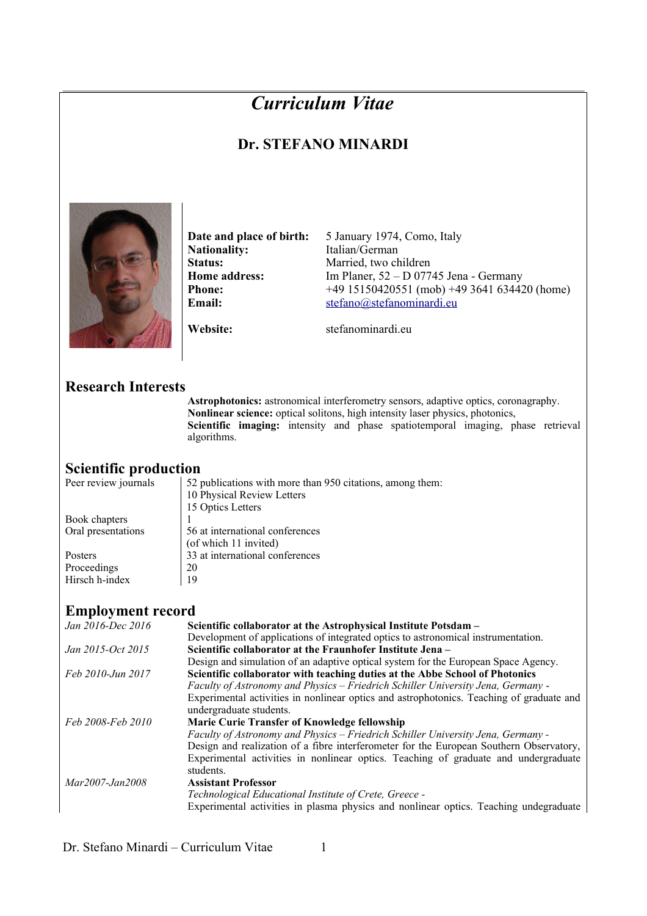# *Curriculum Vitae*

## **Dr. STEFANO MINARDI**



**Date and place of birth:** 5 January 1974, Como, Italy Nationality: Italian/German

Status: Married, two children **Home address:** Im Planer, 52 – D 07745 Jena - Germany **Phone:** +49 15150420551 (mob) +49 3641 634420 (home) **Email:** [stefano@stefanominardi.eu](mailto:stefano@stefanominardi.eu)

**Website:** stefanominardieu

#### **Research Interests**

**Astrophotonics:** astronomical interferometry sensors, adaptive optics, coronagraphy. **Nonlinear science:** optical solitons, high intensity laser physics, photonics, **Scientific imaging:** intensity and phase spatiotemporal imaging, phase retrieval algorithms.

# **Scientific production**<br>Peer review journals | 52 p

52 publications with more than 950 citations, among them: 10 Physical Review Letters 15 Optics Letters Book chapters 1 Oral presentations 56 at international conferences (of which 11 invited) Posters  $\begin{vmatrix} 33 \ 20 \end{vmatrix}$  at international conferences Proceedings 20<br>Hirsch h-index 19 Hirsch h-index

### **Employment record**

| Jan 2016-Dec 2016 | Scientific collaborator at the Astrophysical Institute Potsdam -                         |  |  |  |  |
|-------------------|------------------------------------------------------------------------------------------|--|--|--|--|
|                   | Development of applications of integrated optics to astronomical instrumentation.        |  |  |  |  |
| Jan 2015-Oct 2015 | Scientific collaborator at the Fraunhofer Institute Jena –                               |  |  |  |  |
|                   | Design and simulation of an adaptive optical system for the European Space Agency.       |  |  |  |  |
| Feb 2010-Jun 2017 | Scientific collaborator with teaching duties at the Abbe School of Photonics             |  |  |  |  |
|                   | Faculty of Astronomy and Physics – Friedrich Schiller University Jena, Germany -         |  |  |  |  |
|                   | Experimental activities in nonlinear optics and astrophotonics. Teaching of graduate and |  |  |  |  |
|                   | undergraduate students.                                                                  |  |  |  |  |
| Feb 2008-Feb 2010 | Marie Curie Transfer of Knowledge fellowship                                             |  |  |  |  |
|                   | Faculty of Astronomy and Physics – Friedrich Schiller University Jena, Germany -         |  |  |  |  |
|                   | Design and realization of a fibre interferometer for the European Southern Observatory,  |  |  |  |  |
|                   | Experimental activities in nonlinear optics. Teaching of graduate and undergraduate      |  |  |  |  |
|                   | students.                                                                                |  |  |  |  |
| Mar2007-Jan2008   | <b>Assistant Professor</b>                                                               |  |  |  |  |
|                   | Technological Educational Institute of Crete, Greece -                                   |  |  |  |  |
|                   | Experimental activities in plasma physics and nonlinear optics. Teaching undegraduate    |  |  |  |  |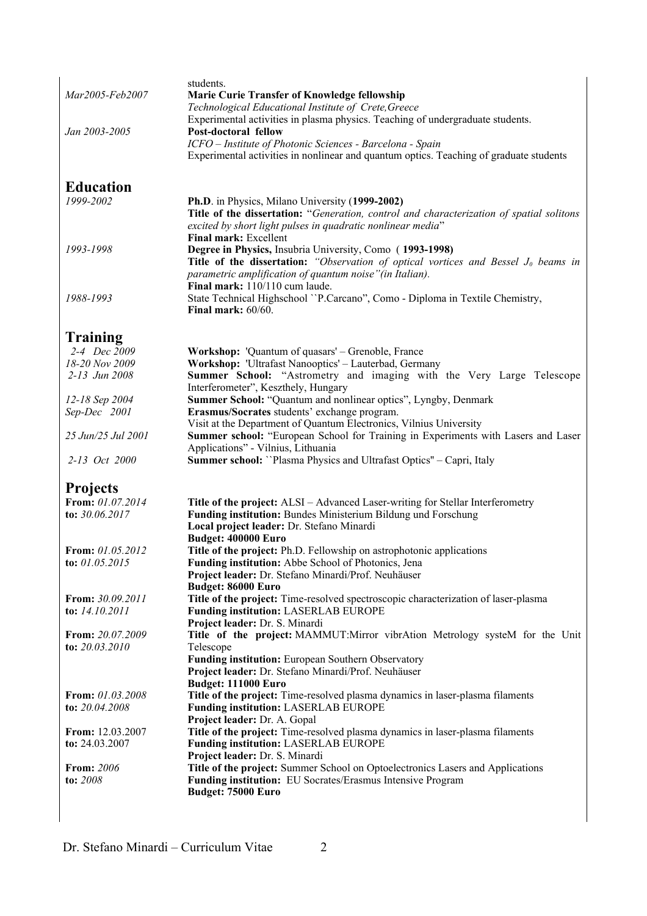| Mar2005-Feb2007                 | students.<br><b>Marie Curie Transfer of Knowledge fellowship</b><br>Technological Educational Institute of Crete, Greece<br>Experimental activities in plasma physics. Teaching of undergraduate students.                                      |  |  |  |  |  |
|---------------------------------|-------------------------------------------------------------------------------------------------------------------------------------------------------------------------------------------------------------------------------------------------|--|--|--|--|--|
|                                 |                                                                                                                                                                                                                                                 |  |  |  |  |  |
| Jan 2003-2005                   | Post-doctoral fellow                                                                                                                                                                                                                            |  |  |  |  |  |
|                                 | ICFO - Institute of Photonic Sciences - Barcelona - Spain<br>Experimental activities in nonlinear and quantum optics. Teaching of graduate students                                                                                             |  |  |  |  |  |
| <b>Education</b>                |                                                                                                                                                                                                                                                 |  |  |  |  |  |
| 1999-2002                       | Ph.D. in Physics, Milano University (1999-2002)                                                                                                                                                                                                 |  |  |  |  |  |
|                                 | Title of the dissertation: "Generation, control and characterization of spatial solitons<br>excited by short light pulses in quadratic nonlinear media"<br><b>Final mark: Excellent</b>                                                         |  |  |  |  |  |
| 1993-1998                       | Degree in Physics, Insubria University, Como (1993-1998)<br>Title of the dissertation: "Observation of optical vortices and Bessel $J_0$ beams in<br>parametric amplification of quantum noise" (in Italian).<br>Final mark: 110/110 cum laude. |  |  |  |  |  |
| 1988-1993                       | State Technical Highschool "P.Carcano", Como - Diploma in Textile Chemistry,<br>Final mark: 60/60.                                                                                                                                              |  |  |  |  |  |
| <b>Training</b>                 |                                                                                                                                                                                                                                                 |  |  |  |  |  |
| 2-4 Dec 2009                    | Workshop: 'Quantum of quasars' – Grenoble, France                                                                                                                                                                                               |  |  |  |  |  |
| 18-20 Nov 2009<br>2-13 Jun 2008 | Workshop: 'Ultrafast Nanooptics' - Lauterbad, Germany                                                                                                                                                                                           |  |  |  |  |  |
|                                 | Summer School: "Astrometry and imaging with the Very Large Telescope<br>Interferometer", Keszthely, Hungary                                                                                                                                     |  |  |  |  |  |
| 12-18 Sep 2004                  | Summer School: "Quantum and nonlinear optics", Lyngby, Denmark                                                                                                                                                                                  |  |  |  |  |  |
| Sep-Dec 2001                    | Erasmus/Socrates students' exchange program.                                                                                                                                                                                                    |  |  |  |  |  |
|                                 | Visit at the Department of Quantum Electronics, Vilnius University                                                                                                                                                                              |  |  |  |  |  |
| 25 Jun/25 Jul 2001              | Summer school: "European School for Training in Experiments with Lasers and Laser<br>Applications" - Vilnius, Lithuania                                                                                                                         |  |  |  |  |  |
| 2-13 Oct 2000                   | Summer school: "Plasma Physics and Ultrafast Optics" - Capri, Italy                                                                                                                                                                             |  |  |  |  |  |
| <b>Projects</b>                 |                                                                                                                                                                                                                                                 |  |  |  |  |  |
| From: 01.07.2014                | Title of the project: ALSI - Advanced Laser-writing for Stellar Interferometry                                                                                                                                                                  |  |  |  |  |  |
| to: 30.06.2017                  | Funding institution: Bundes Ministerium Bildung und Forschung<br>Local project leader: Dr. Stefano Minardi                                                                                                                                      |  |  |  |  |  |
| From: 01.05.2012                | Budget: 400000 Euro<br>Title of the project: Ph.D. Fellowship on astrophotonic applications                                                                                                                                                     |  |  |  |  |  |
| to: 01.05.2015                  | Funding institution: Abbe School of Photonics, Jena                                                                                                                                                                                             |  |  |  |  |  |
|                                 | Project leader: Dr. Stefano Minardi/Prof. Neuhäuser                                                                                                                                                                                             |  |  |  |  |  |
|                                 | Budget: 86000 Euro                                                                                                                                                                                                                              |  |  |  |  |  |
| From: 30.09.2011                | Title of the project: Time-resolved spectroscopic characterization of laser-plasma                                                                                                                                                              |  |  |  |  |  |
| to: $14.10.2011$                | Funding institution: LASERLAB EUROPE<br>Project leader: Dr. S. Minardi                                                                                                                                                                          |  |  |  |  |  |
| From: 20.07.2009                | Title of the project: MAMMUT:Mirror vibrAtion Metrology systeM for the Unit                                                                                                                                                                     |  |  |  |  |  |
| to: 20.03.2010                  | Telescope                                                                                                                                                                                                                                       |  |  |  |  |  |
|                                 | Funding institution: European Southern Observatory                                                                                                                                                                                              |  |  |  |  |  |
|                                 | Project leader: Dr. Stefano Minardi/Prof. Neuhäuser                                                                                                                                                                                             |  |  |  |  |  |
| <b>From:</b> 01.03.2008         | <b>Budget: 111000 Euro</b>                                                                                                                                                                                                                      |  |  |  |  |  |
| to: 20.04.2008                  | Title of the project: Time-resolved plasma dynamics in laser-plasma filaments<br><b>Funding institution: LASERLAB EUROPE</b>                                                                                                                    |  |  |  |  |  |
|                                 | Project leader: Dr. A. Gopal                                                                                                                                                                                                                    |  |  |  |  |  |
| From: 12.03.2007                | Title of the project: Time-resolved plasma dynamics in laser-plasma filaments                                                                                                                                                                   |  |  |  |  |  |
| to: $24.03.2007$                | <b>Funding institution: LASERLAB EUROPE</b><br>Project leader: Dr. S. Minardi                                                                                                                                                                   |  |  |  |  |  |
| From: 2006                      | Title of the project: Summer School on Optoelectronics Lasers and Applications                                                                                                                                                                  |  |  |  |  |  |
|                                 | Funding institution: EU Socrates/Erasmus Intensive Program                                                                                                                                                                                      |  |  |  |  |  |
| to: 2008                        | Budget: 75000 Euro                                                                                                                                                                                                                              |  |  |  |  |  |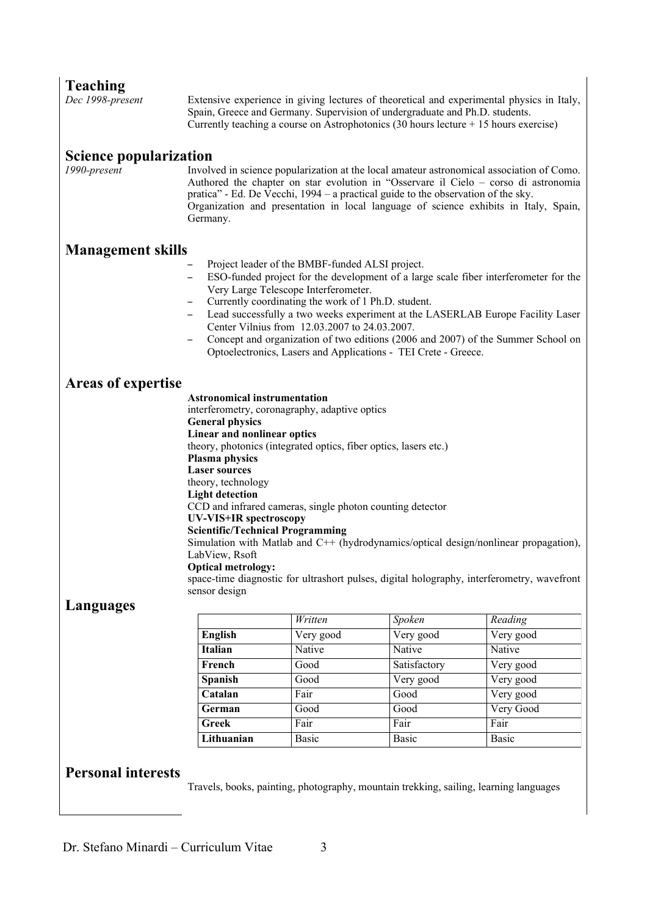| <b>Teaching</b><br>Dec 1998-present                                                                                                                                                                                                                                                                                                                                                                                                                                                                                                                         | Extensive experience in giving lectures of theoretical and experimental physics in Italy,<br>Spain, Greece and Germany. Supervision of undergraduate and Ph.D. students.<br>Currently teaching a course on Astrophotonics $(30 \text{ hours} \text{ lecture} + 15 \text{ hours} \text{ exercise})$                                                                                                                                                                                                                                                                                                                                                                                                  |                      |                                                                                       |                      |  |  |  |
|-------------------------------------------------------------------------------------------------------------------------------------------------------------------------------------------------------------------------------------------------------------------------------------------------------------------------------------------------------------------------------------------------------------------------------------------------------------------------------------------------------------------------------------------------------------|-----------------------------------------------------------------------------------------------------------------------------------------------------------------------------------------------------------------------------------------------------------------------------------------------------------------------------------------------------------------------------------------------------------------------------------------------------------------------------------------------------------------------------------------------------------------------------------------------------------------------------------------------------------------------------------------------------|----------------------|---------------------------------------------------------------------------------------|----------------------|--|--|--|
| <b>Science popularization</b><br>1990-present                                                                                                                                                                                                                                                                                                                                                                                                                                                                                                               | Involved in science popularization at the local amateur astronomical association of Como.<br>Authored the chapter on star evolution in "Osservare il Cielo – corso di astronomia<br>pratica" - Ed. De Vecchi, 1994 - a practical guide to the observation of the sky.<br>Organization and presentation in local language of science exhibits in Italy, Spain,<br>Germany.                                                                                                                                                                                                                                                                                                                           |                      |                                                                                       |                      |  |  |  |
| <b>Management skills</b><br>Project leader of the BMBF-funded ALSI project.<br>ESO-funded project for the development of a large scale fiber interferometer for the<br>Very Large Telescope Interferometer.<br>Currently coordinating the work of 1 Ph.D. student.<br>Lead successfully a two weeks experiment at the LASERLAB Europe Facility Laser<br>Center Vilnius from 12.03.2007 to 24.03.2007.<br>Concept and organization of two editions (2006 and 2007) of the Summer School on<br>Optoelectronics, Lasers and Applications - TEI Crete - Greece. |                                                                                                                                                                                                                                                                                                                                                                                                                                                                                                                                                                                                                                                                                                     |                      |                                                                                       |                      |  |  |  |
| <b>Areas of expertise</b>                                                                                                                                                                                                                                                                                                                                                                                                                                                                                                                                   | <b>Astronomical instrumentation</b><br>interferometry, coronagraphy, adaptive optics<br><b>General physics</b><br>Linear and nonlinear optics<br>theory, photonics (integrated optics, fiber optics, lasers etc.)<br>Plasma physics<br><b>Laser sources</b><br>theory, technology<br><b>Light detection</b><br>CCD and infrared cameras, single photon counting detector<br>UV-VIS+IR spectroscopy<br><b>Scientific/Technical Programming</b><br>Simulation with Matlab and C++ (hydrodynamics/optical design/nonlinear propagation),<br>LabView, Rsoft<br><b>Optical metrology:</b><br>space-time diagnostic for ultrashort pulses, digital holography, interferometry, wavefront<br>sensor design |                      |                                                                                       |                      |  |  |  |
| Languages                                                                                                                                                                                                                                                                                                                                                                                                                                                                                                                                                   |                                                                                                                                                                                                                                                                                                                                                                                                                                                                                                                                                                                                                                                                                                     |                      |                                                                                       |                      |  |  |  |
|                                                                                                                                                                                                                                                                                                                                                                                                                                                                                                                                                             | <b>English</b>                                                                                                                                                                                                                                                                                                                                                                                                                                                                                                                                                                                                                                                                                      | Written<br>Very good | Spoken<br>Very good                                                                   | Reading<br>Very good |  |  |  |
|                                                                                                                                                                                                                                                                                                                                                                                                                                                                                                                                                             | Italian                                                                                                                                                                                                                                                                                                                                                                                                                                                                                                                                                                                                                                                                                             | Native               | Native                                                                                | Native               |  |  |  |
|                                                                                                                                                                                                                                                                                                                                                                                                                                                                                                                                                             | French                                                                                                                                                                                                                                                                                                                                                                                                                                                                                                                                                                                                                                                                                              | Good                 | Satisfactory                                                                          | Very good            |  |  |  |
|                                                                                                                                                                                                                                                                                                                                                                                                                                                                                                                                                             | Spanish                                                                                                                                                                                                                                                                                                                                                                                                                                                                                                                                                                                                                                                                                             | Good                 | Very good                                                                             | Very good            |  |  |  |
|                                                                                                                                                                                                                                                                                                                                                                                                                                                                                                                                                             | Catalan                                                                                                                                                                                                                                                                                                                                                                                                                                                                                                                                                                                                                                                                                             | Fair                 | Good                                                                                  | Very good            |  |  |  |
|                                                                                                                                                                                                                                                                                                                                                                                                                                                                                                                                                             | German                                                                                                                                                                                                                                                                                                                                                                                                                                                                                                                                                                                                                                                                                              | Good                 | Good                                                                                  | Very Good            |  |  |  |
|                                                                                                                                                                                                                                                                                                                                                                                                                                                                                                                                                             | <b>Greek</b>                                                                                                                                                                                                                                                                                                                                                                                                                                                                                                                                                                                                                                                                                        | Fair                 | Fair                                                                                  | Fair                 |  |  |  |
|                                                                                                                                                                                                                                                                                                                                                                                                                                                                                                                                                             | Lithuanian                                                                                                                                                                                                                                                                                                                                                                                                                                                                                                                                                                                                                                                                                          | <b>Basic</b>         | <b>Basic</b>                                                                          | <b>Basic</b>         |  |  |  |
| <b>Personal interests</b>                                                                                                                                                                                                                                                                                                                                                                                                                                                                                                                                   |                                                                                                                                                                                                                                                                                                                                                                                                                                                                                                                                                                                                                                                                                                     |                      | Travels, books, painting, photography, mountain trekking, sailing, learning languages |                      |  |  |  |
|                                                                                                                                                                                                                                                                                                                                                                                                                                                                                                                                                             |                                                                                                                                                                                                                                                                                                                                                                                                                                                                                                                                                                                                                                                                                                     |                      |                                                                                       |                      |  |  |  |